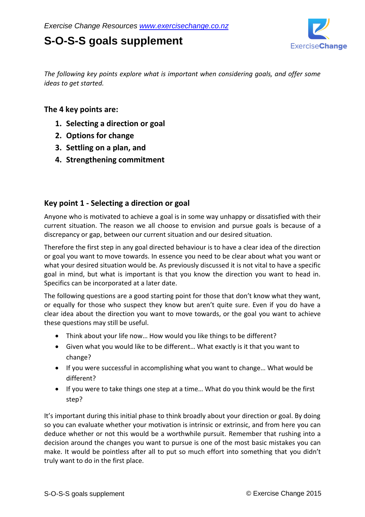# **S-O-S-S goals supplement**



*The following key points explore what is important when considering goals, and offer some ideas to get started.* 

### **The 4 key points are:**

- **1. Selecting a direction or goal**
- **2. Options for change**
- **3. Settling on a plan, and**
- **4. Strengthening commitment**

# **Key point 1 - Selecting a direction or goal**

Anyone who is motivated to achieve a goal is in some way unhappy or dissatisfied with their current situation. The reason we all choose to envision and pursue goals is because of a discrepancy or gap, between our current situation and our desired situation.

Therefore the first step in any goal directed behaviour is to have a clear idea of the direction or goal you want to move towards. In essence you need to be clear about what you want or what your desired situation would be. As previously discussed it is not vital to have a specific goal in mind, but what is important is that you know the direction you want to head in. Specifics can be incorporated at a later date.

The following questions are a good starting point for those that don't know what they want, or equally for those who suspect they know but aren't quite sure. Even if you do have a clear idea about the direction you want to move towards, or the goal you want to achieve these questions may still be useful.

- Think about your life now… How would you like things to be different?
- Given what you would like to be different… What exactly is it that you want to change?
- If you were successful in accomplishing what you want to change... What would be different?
- If you were to take things one step at a time… What do you think would be the first step?

It's important during this initial phase to think broadly about your direction or goal. By doing so you can evaluate whether your motivation is intrinsic or extrinsic, and from here you can deduce whether or not this would be a worthwhile pursuit. Remember that rushing into a decision around the changes you want to pursue is one of the most basic mistakes you can make. It would be pointless after all to put so much effort into something that you didn't truly want to do in the first place.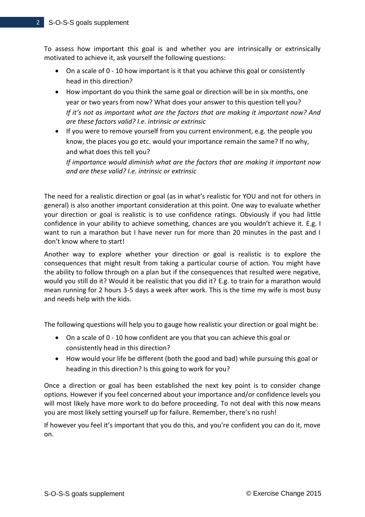To assess how important this goal is and whether you are intrinsically or extrinsically motivated to achieve it, ask yourself the following questions:

- On a scale of 0 10 how important is it that you achieve this goal or consistently head in this direction?
- How important do you think the same goal or direction will be in six months, one year or two years from now? What does your answer to this question tell you? *If it's not as important what are the factors that are making it important now? And are these factors valid? I.e. intrinsic or extrinsic*
- If you were to remove yourself from you current environment, e.g. the people you know, the places you go etc. would your importance remain the same? If no why, and what does this tell you?

*If importance would diminish what are the factors that are making it important now and are these valid? I.e. intrinsic or extrinsic* 

The need for a realistic direction or goal (as in what's realistic for YOU and not for others in general) is also another important consideration at this point. One way to evaluate whether your direction or goal is realistic is to use confidence ratings. Obviously if you had little confidence in your ability to achieve something, chances are you wouldn't achieve it. E.g. I want to run a marathon but I have never run for more than 20 minutes in the past and I don't know where to start!

Another way to explore whether your direction or goal is realistic is to explore the consequences that might result from taking a particular course of action. You might have the ability to follow through on a plan but if the consequences that resulted were negative, would you still do it? Would it be realistic that you did it? E.g. to train for a marathon would mean running for 2 hours 3-5 days a week after work. This is the time my wife is most busy and needs help with the kids.

The following questions will help you to gauge how realistic your direction or goal might be:

- On a scale of 0 10 how confident are you that you can achieve this goal or consistently head in this direction?
- How would your life be different (both the good and bad) while pursuing this goal or heading in this direction? Is this going to work for you?

Once a direction or goal has been established the next key point is to consider change options. However if you feel concerned about your importance and/or confidence levels you will most likely have more work to do before proceeding. To not deal with this now means you are most likely setting yourself up for failure. Remember, there's no rush!

If however you feel it's important that you do this, and you're confident you can do it, move on.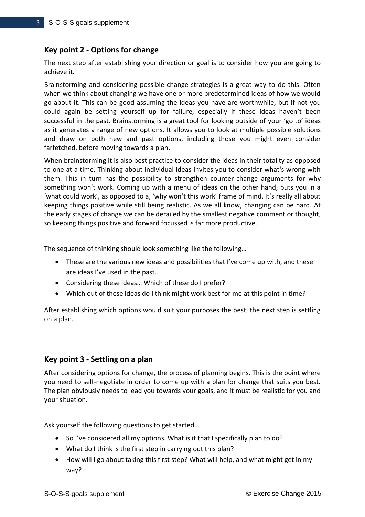# **Key point 2 - Options for change**

The next step after establishing your direction or goal is to consider how you are going to achieve it.

Brainstorming and considering possible change strategies is a great way to do this. Often when we think about changing we have one or more predetermined ideas of how we would go about it. This can be good assuming the ideas you have are worthwhile, but if not you could again be setting yourself up for failure, especially if these ideas haven't been successful in the past. Brainstorming is a great tool for looking outside of your 'go to' ideas as it generates a range of new options. It allows you to look at multiple possible solutions and draw on both new and past options, including those you might even consider farfetched, before moving towards a plan.

When brainstorming it is also best practice to consider the ideas in their totality as opposed to one at a time. Thinking about individual ideas invites you to consider what's wrong with them. This in turn has the possibility to strengthen counter-change arguments for why something won't work. Coming up with a menu of ideas on the other hand, puts you in a 'what could work', as opposed to a, 'why won't this work' frame of mind. It's really all about keeping things positive while still being realistic. As we all know, changing can be hard. At the early stages of change we can be derailed by the smallest negative comment or thought, so keeping things positive and forward focussed is far more productive.

The sequence of thinking should look something like the following…

- These are the various new ideas and possibilities that I've come up with, and these are ideas I've used in the past.
- Considering these ideas… Which of these do I prefer?
- Which out of these ideas do I think might work best for me at this point in time?

After establishing which options would suit your purposes the best, the next step is settling on a plan.

#### **Key point 3 - Settling on a plan**

After considering options for change, the process of planning begins. This is the point where you need to self-negotiate in order to come up with a plan for change that suits you best. The plan obviously needs to lead you towards your goals, and it must be realistic for you and your situation.

Ask yourself the following questions to get started…

- So I've considered all my options. What is it that I specifically plan to do?
- What do I think is the first step in carrying out this plan?
- How will I go about taking this first step? What will help, and what might get in my way?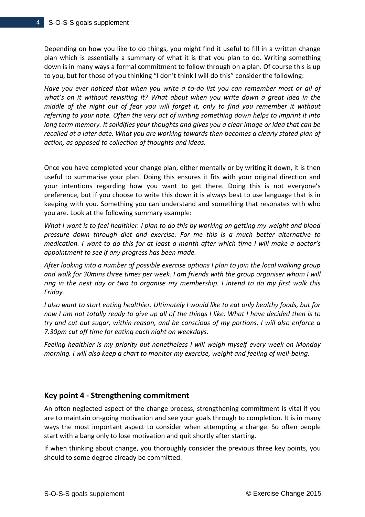Depending on how you like to do things, you might find it useful to fill in a written change plan which is essentially a summary of what it is that you plan to do. Writing something down is in many ways a formal commitment to follow through on a plan. Of course this is up to you, but for those of you thinking "I don't think I will do this" consider the following:

*Have you ever noticed that when you write a to-do list you can remember most or all of what's on it without revisiting it? What about when you write down a great idea in the middle of the night out of fear you will forget it, only to find you remember it without referring to your note. Often the very act of writing something down helps to imprint it into long term memory. It solidifies your thoughts and gives you a clear image or idea that can be recalled at a later date. What you are working towards then becomes a clearly stated plan of action, as opposed to collection of thoughts and ideas.* 

Once you have completed your change plan, either mentally or by writing it down, it is then useful to summarise your plan. Doing this ensures it fits with your original direction and your intentions regarding how you want to get there. Doing this is not everyone's preference, but if you choose to write this down it is always best to use language that is in keeping with you. Something you can understand and something that resonates with who you are. Look at the following summary example:

*What I want is to feel healthier. I plan to do this by working on getting my weight and blood pressure down through diet and exercise. For me this is a much better alternative to medication. I want to do this for at least a month after which time I will make a doctor's appointment to see if any progress has been made.* 

*After looking into a number of possible exercise options I plan to join the local walking group and walk for 30mins three times per week. I am friends with the group organiser whom I will ring in the next day or two to organise my membership. I intend to do my first walk this Friday.* 

*I also want to start eating healthier. Ultimately I would like to eat only healthy foods, but for now I am not totally ready to give up all of the things I like. What I have decided then is to try and cut out sugar, within reason, and be conscious of my portions. I will also enforce a 7.30pm cut off time for eating each night on weekdays.*

*Feeling healthier is my priority but nonetheless I will weigh myself every week on Monday morning. I will also keep a chart to monitor my exercise, weight and feeling of well-being.*

### **Key point 4 - Strengthening commitment**

An often neglected aspect of the change process, strengthening commitment is vital if you are to maintain on-going motivation and see your goals through to completion. It is in many ways the most important aspect to consider when attempting a change. So often people start with a bang only to lose motivation and quit shortly after starting.

If when thinking about change, you thoroughly consider the previous three key points, you should to some degree already be committed.